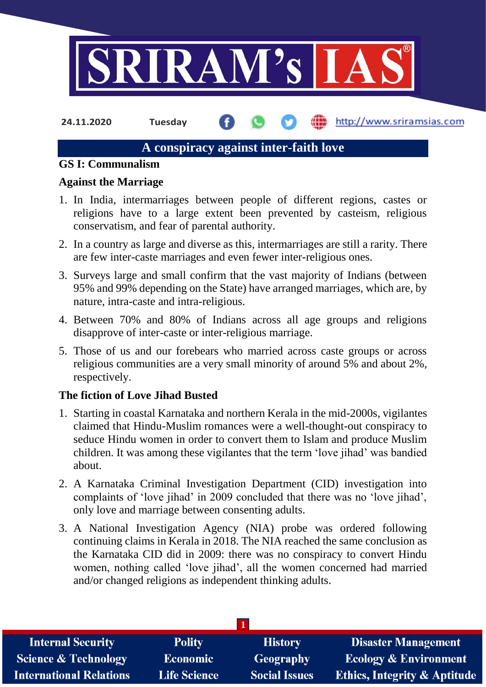

**24.11.2020 Tuesday**

http://www.sriramsias.com

# **A conspiracy against inter-faith love**

#### **GS I: Communalism**

### **Against the Marriage**

- 1. In India, intermarriages between people of different regions, castes or religions have to a large extent been prevented by casteism, religious conservatism, and fear of parental authority.
- 2. In a country as large and diverse as this, intermarriages are still a rarity. There are few inter-caste marriages and even fewer inter-religious ones.
- 3. Surveys large and small confirm that the vast majority of Indians (between 95% and 99% depending on the State) have arranged marriages, which are, by nature, intra-caste and intra-religious.
- 4. Between 70% and 80% of Indians across all age groups and religions disapprove of inter-caste or inter-religious marriage.
- 5. Those of us and our forebears who married across caste groups or across religious communities are a very small minority of around 5% and about 2%, respectively.

# **The fiction of Love Jihad Busted**

- 1. Starting in coastal Karnataka and northern Kerala in the mid-2000s, vigilantes claimed that Hindu-Muslim romances were a well-thought-out conspiracy to seduce Hindu women in order to convert them to Islam and produce Muslim children. It was among these vigilantes that the term 'love jihad' was bandied about.
- 2. A Karnataka Criminal Investigation Department (CID) investigation into complaints of 'love jihad' in 2009 concluded that there was no 'love jihad', only love and marriage between consenting adults.
- 3. A National Investigation Agency (NIA) probe was ordered following continuing claims in Kerala in 2018. The NIA reached the same conclusion as the Karnataka CID did in 2009: there was no conspiracy to convert Hindu women, nothing called 'love jihad', all the women concerned had married and/or changed religions as independent thinking adults.

| <b>Internal Security</b>        | <b>Polity</b>       | <b>History</b>       | <b>Disaster Management</b>              |
|---------------------------------|---------------------|----------------------|-----------------------------------------|
| <b>Science &amp; Technology</b> | Economic            | <b>Geography</b>     | <b>Ecology &amp; Environment</b>        |
| <b>International Relations</b>  | <b>Life Science</b> | <b>Social Issues</b> | <b>Ethics, Integrity &amp; Aptitude</b> |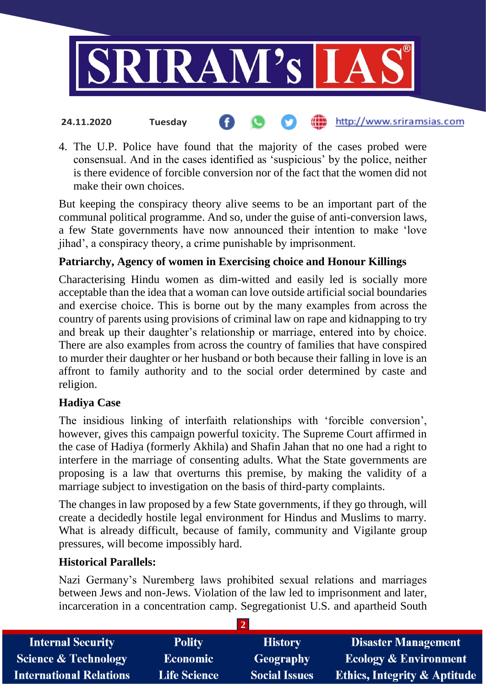

4. The U.P. Police have found that the majority of the cases probed were consensual. And in the cases identified as 'suspicious' by the police, neither is there evidence of forcible conversion nor of the fact that the women did not make their own choices.

But keeping the conspiracy theory alive seems to be an important part of the communal political programme. And so, under the guise of anti-conversion laws, a few State governments have now announced their intention to make 'love jihad', a conspiracy theory, a crime punishable by imprisonment.

# **Patriarchy, Agency of women in Exercising choice and Honour Killings**

Characterising Hindu women as dim-witted and easily led is socially more acceptable than the idea that a woman can love outside artificial social boundaries and exercise choice. This is borne out by the many examples from across the country of parents using provisions of criminal law on rape and kidnapping to try and break up their daughter's relationship or marriage, entered into by choice. There are also examples from across the country of families that have conspired to murder their daughter or her husband or both because their falling in love is an affront to family authority and to the social order determined by caste and religion.

### **Hadiya Case**

The insidious linking of interfaith relationships with 'forcible conversion', however, gives this campaign powerful toxicity. The Supreme Court affirmed in the case of Hadiya (formerly Akhila) and Shafin Jahan that no one had a right to interfere in the marriage of consenting adults. What the State governments are proposing is a law that overturns this premise, by making the validity of a marriage subject to investigation on the basis of third-party complaints.

The changes in law proposed by a few State governments, if they go through, will create a decidedly hostile legal environment for Hindus and Muslims to marry. What is already difficult, because of family, community and Vigilante group pressures, will become impossibly hard.

### **Historical Parallels:**

Nazi Germany's Nuremberg laws prohibited sexual relations and marriages between Jews and non-Jews. Violation of the law led to imprisonment and later, incarceration in a concentration camp. Segregationist U.S. and apartheid South

| <b>Internal Security</b>        | <b>Polity</b>       | <b>History</b>       | <b>Disaster Management</b>              |
|---------------------------------|---------------------|----------------------|-----------------------------------------|
| <b>Science &amp; Technology</b> | <b>Economic</b>     | Geography            | <b>Ecology &amp; Environment</b>        |
| <b>International Relations</b>  | <b>Life Science</b> | <b>Social Issues</b> | <b>Ethics, Integrity &amp; Aptitude</b> |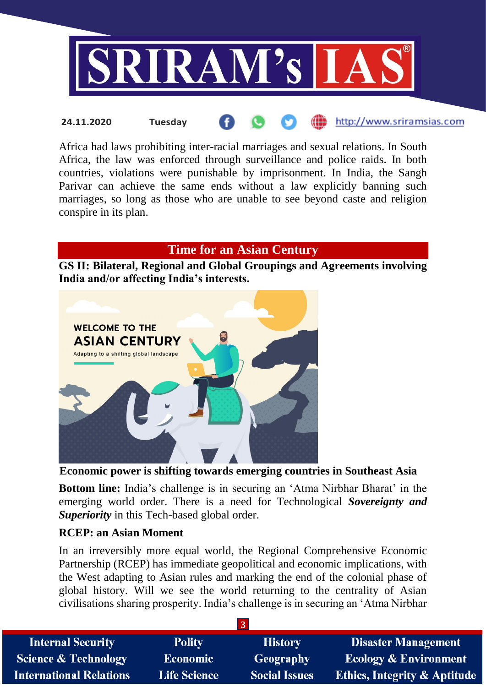

Africa had laws prohibiting inter-racial marriages and sexual relations. In South Africa, the law was enforced through surveillance and police raids. In both countries, violations were punishable by imprisonment. In India, the Sangh Parivar can achieve the same ends without a law explicitly banning such marriages, so long as those who are unable to see beyond caste and religion conspire in its plan.

# **Time for an Asian Century**

**GS II: Bilateral, Regional and Global Groupings and Agreements involving India and/or affecting India's interests.**



**Economic power is shifting towards emerging countries in Southeast Asia**

**Bottom line:** India's challenge is in securing an 'Atma Nirbhar Bharat' in the emerging world order. There is a need for Technological *Sovereignty and Superiority* in this Tech-based global order.

### **RCEP: an Asian Moment**

In an irreversibly more equal world, the Regional Comprehensive Economic Partnership (RCEP) has immediate geopolitical and economic implications, with the West adapting to Asian rules and marking the end of the colonial phase of global history. Will we see the world returning to the centrality of Asian civilisations sharing prosperity. India's challenge is in securing an 'Atma Nirbhar

| <b>Internal Security</b>       | <b>Polity</b>       | <b>History</b>       | <b>Disaster Management</b>              |
|--------------------------------|---------------------|----------------------|-----------------------------------------|
| Science & Technology           | <b>Economic</b>     | Geography            | <b>Ecology &amp; Environment</b>        |
| <b>International Relations</b> | <b>Life Science</b> | <b>Social Issues</b> | <b>Ethics, Integrity &amp; Aptitude</b> |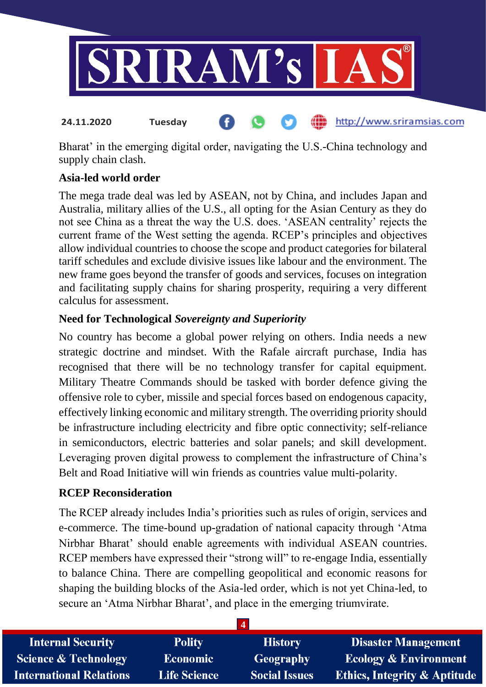

Bharat' in the emerging digital order, navigating the U.S.-China technology and supply chain clash.

# **Asia-led world order**

The mega trade deal was led by ASEAN, not by China, and includes Japan and Australia, military allies of the U.S., all opting for the Asian Century as they do not see China as a threat the way the U.S. does. 'ASEAN centrality' rejects the current frame of the West setting the agenda. RCEP's principles and objectives allow individual countries to choose the scope and product categories for bilateral tariff schedules and exclude divisive issues like labour and the environment. The new frame goes beyond the transfer of goods and services, focuses on integration and facilitating supply chains for sharing prosperity, requiring a very different calculus for assessment.

# **Need for Technological** *Sovereignty and Superiority*

No country has become a global power relying on others. India needs a new strategic doctrine and mindset. With the Rafale aircraft purchase, India has recognised that there will be no technology transfer for capital equipment. Military Theatre Commands should be tasked with border defence giving the offensive role to cyber, missile and special forces based on endogenous capacity, effectively linking economic and military strength. The overriding priority should be infrastructure including electricity and fibre optic connectivity; self-reliance in semiconductors, electric batteries and solar panels; and skill development. Leveraging proven digital prowess to complement the infrastructure of China's Belt and Road Initiative will win friends as countries value multi-polarity.

### **RCEP Reconsideration**

The RCEP already includes India's priorities such as rules of origin, services and e-commerce. The time-bound up-gradation of national capacity through 'Atma Nirbhar Bharat' should enable agreements with individual ASEAN countries. RCEP members have expressed their "strong will" to re-engage India, essentially to balance China. There are compelling geopolitical and economic reasons for shaping the building blocks of the Asia-led order, which is not yet China-led, to secure an 'Atma Nirbhar Bharat', and place in the emerging triumvirate.

| <b>Internal Security</b>        | <b>Polity</b>       | <b>History</b>       | <b>Disaster Management</b>              |
|---------------------------------|---------------------|----------------------|-----------------------------------------|
| <b>Science &amp; Technology</b> | <b>Economic</b>     | Geography            | <b>Ecology &amp; Environment</b>        |
| <b>International Relations</b>  | <b>Life Science</b> | <b>Social Issues</b> | <b>Ethics, Integrity &amp; Aptitude</b> |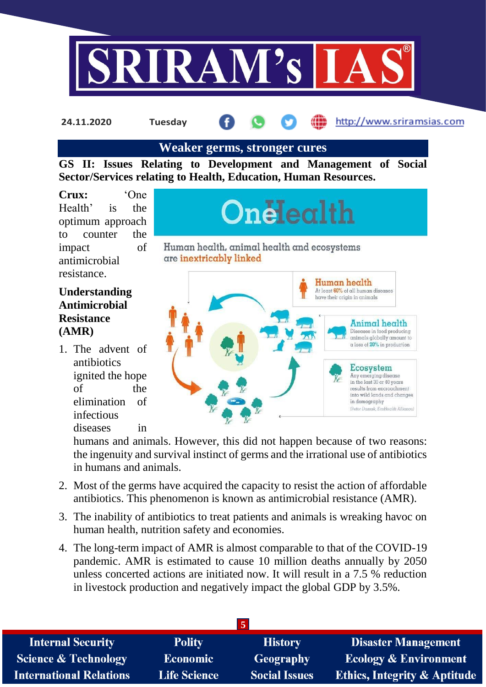

**24.11.2020 Tuesday**

#### http://www.sriramsias.com

### **Weaker germs, stronger cures**

**GS II: Issues Relating to Development and Management of Social Sector/Services relating to Health, Education, Human Resources.**

**Crux:** 'One Health' is the optimum approach to counter the impact of antimicrobial resistance.

# Onelealth

Human health, animal health and ecosystems are inextricably linked

# **Understanding Antimicrobial Resistance (AMR)**

1. The advent of antibiotics ignited the hope of the elimination of infectious diseases in



humans and animals. However, this did not happen because of two reasons: the ingenuity and survival instinct of germs and the irrational use of antibiotics in humans and animals.

- 2. Most of the germs have acquired the capacity to resist the action of affordable antibiotics. This phenomenon is known as antimicrobial resistance (AMR).
- 3. The inability of antibiotics to treat patients and animals is wreaking havoc on human health, nutrition safety and economies.
- 4. The long-term impact of AMR is almost comparable to that of the COVID-19 pandemic. AMR is estimated to cause 10 million deaths annually by 2050 unless concerted actions are initiated now. It will result in a 7.5 % reduction in livestock production and negatively impact the global GDP by 3.5%.

| <b>Internal Security</b>        | <b>Polity</b>       | <b>History</b>       | <b>Disaster Management</b>              |
|---------------------------------|---------------------|----------------------|-----------------------------------------|
| <b>Science &amp; Technology</b> | <b>Economic</b>     | <b>Geography</b>     | <b>Ecology &amp; Environment</b>        |
| <b>International Relations</b>  | <b>Life Science</b> | <b>Social Issues</b> | <b>Ethics, Integrity &amp; Aptitude</b> |
|                                 |                     |                      |                                         |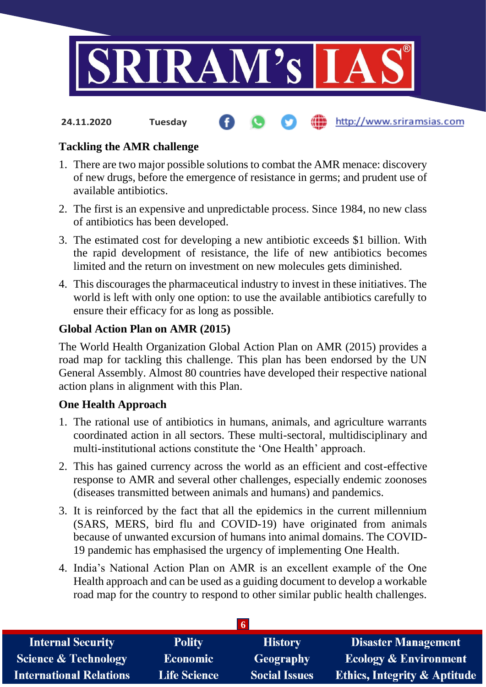

#### http://www.sriramsias.com **24.11.2020 Tuesday**

# **Tackling the AMR challenge**

- 1. There are two major possible solutions to combat the AMR menace: discovery of new drugs, before the emergence of resistance in germs; and prudent use of available antibiotics.
- 2. The first is an expensive and unpredictable process. Since 1984, no new class of antibiotics has been developed.
- 3. The estimated cost for developing a new antibiotic exceeds \$1 billion. With the rapid development of resistance, the life of new antibiotics becomes limited and the return on investment on new molecules gets diminished.
- 4. This discourages the pharmaceutical industry to invest in these initiatives. The world is left with only one option: to use the available antibiotics carefully to ensure their efficacy for as long as possible.

# **Global Action Plan on AMR (2015)**

The World Health Organization Global Action Plan on AMR (2015) provides a road map for tackling this challenge. This plan has been endorsed by the UN General Assembly. Almost 80 countries have developed their respective national action plans in alignment with this Plan.

### **One Health Approach**

- 1. The rational use of antibiotics in humans, animals, and agriculture warrants coordinated action in all sectors. These multi-sectoral, multidisciplinary and multi-institutional actions constitute the 'One Health' approach.
- 2. This has gained currency across the world as an efficient and cost-effective response to AMR and several other challenges, especially endemic zoonoses (diseases transmitted between animals and humans) and pandemics.
- 3. It is reinforced by the fact that all the epidemics in the current millennium (SARS, MERS, bird flu and COVID-19) have originated from animals because of unwanted excursion of humans into animal domains. The COVID-19 pandemic has emphasised the urgency of implementing One Health.
- 4. India's National Action Plan on AMR is an excellent example of the One Health approach and can be used as a guiding document to develop a workable road map for the country to respond to other similar public health challenges.

| <b>Internal Security</b>        | <b>Polity</b>       | <b>History</b>       | <b>Disaster Management</b>              |
|---------------------------------|---------------------|----------------------|-----------------------------------------|
| <b>Science &amp; Technology</b> | Economic            | <b>Geography</b>     | <b>Ecology &amp; Environment</b>        |
| <b>International Relations</b>  | <b>Life Science</b> | <b>Social Issues</b> | <b>Ethics, Integrity &amp; Aptitude</b> |